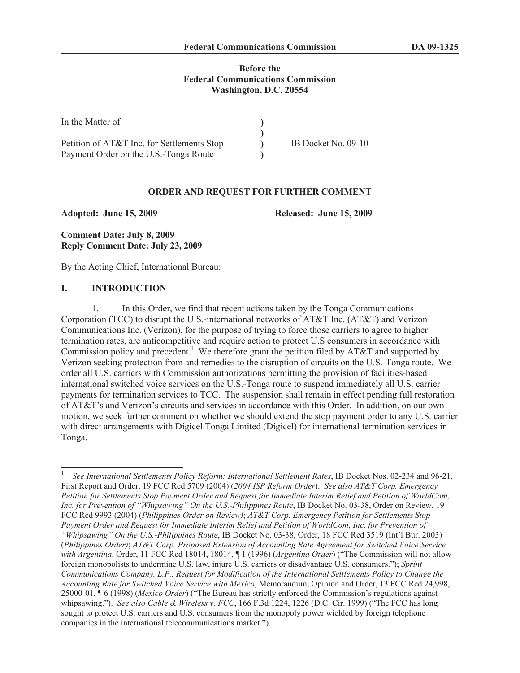### **Before the Federal Communications Commission Washington, D.C. 20554**

| In the Matter of                           |                     |
|--------------------------------------------|---------------------|
|                                            |                     |
| Petition of AT&T Inc. for Settlements Stop | IB Docket No. 09-10 |
| Payment Order on the U.S.-Tonga Route      |                     |

#### **ORDER AND REQUEST FOR FURTHER COMMENT**

**Adopted: June 15, 2009 Released: June 15, 2009**

**Comment Date: July 8, 2009 Reply Comment Date: July 23, 2009**

By the Acting Chief, International Bureau:

#### **I. INTRODUCTION**

1. In this Order, we find that recent actions taken by the Tonga Communications Corporation (TCC) to disrupt the U.S.-international networks of AT&T Inc. (AT&T) and Verizon Communications Inc. (Verizon), for the purpose of trying to force those carriers to agree to higher termination rates, are anticompetitive and require action to protect U.S consumers in accordance with Commission policy and precedent.<sup>1</sup> We therefore grant the petition filed by AT&T and supported by Verizon seeking protection from and remedies to the disruption of circuits on the U.S.-Tonga route. We order all U.S. carriers with Commission authorizations permitting the provision of facilities-based international switched voice services on the U.S.-Tonga route to suspend immediately all U.S. carrier payments for termination services to TCC. The suspension shall remain in effect pending full restoration of AT&T's and Verizon's circuits and services in accordance with this Order. In addition, on our own motion, we seek further comment on whether we should extend the stop payment order to any U.S. carrier with direct arrangements with Digicel Tonga Limited (Digicel) for international termination services in Tonga.

<sup>1</sup> *See International Settlements Policy Reform: International Settlement Rates*, IB Docket Nos. 02-234 and 96-21, First Report and Order, 19 FCC Rcd 5709 (2004) (*2004 ISP Reform Order*). *See also AT&T Corp. Emergency Petition for Settlements Stop Payment Order and Request for Immediate Interim Relief and Petition of WorldCom, Inc. for Prevention of "Whipsawing" On the U.S.-Philippines Route*, IB Docket No. 03-38, Order on Review, 19 FCC Rcd 9993 (2004) (*Philippines Order on Review)*; *AT&T Corp. Emergency Petition for Settlements Stop Payment Order and Request for Immediate Interim Relief and Petition of WorldCom, Inc. for Prevention of "Whipsawing" On the U.S.-Philippines Route*, IB Docket No. 03-38, Order, 18 FCC Rcd 3519 (Int'l Bur. 2003) (*Philippines Order)*; *AT&T Corp. Proposed Extension of Accounting Rate Agreement for Switched Voice Service with Argentina*, Order, 11 FCC Rcd 18014, 18014, ¶ 1 (1996) (*Argentina Order*) ("The Commission will not allow foreign monopolists to undermine U.S. law, injure U.S. carriers or disadvantage U.S. consumers."); *Sprint Communications Company, L.P., Request for Modification of the International Settlements Policy to Change the Accounting Rate for Switched Voice Service with Mexico*, Memorandum, Opinion and Order, 13 FCC Rcd 24,998, 25000-01, ¶ 6 (1998) (*Mexico Order*) ("The Bureau has strictly enforced the Commission's regulations against whipsawing."). *See also Cable & Wireless v. FCC*, 166 F.3d 1224, 1226 (D.C. Cir. 1999) ("The FCC has long sought to protect U.S. carriers and U.S. consumers from the monopoly power wielded by foreign telephone companies in the international telecommunications market.").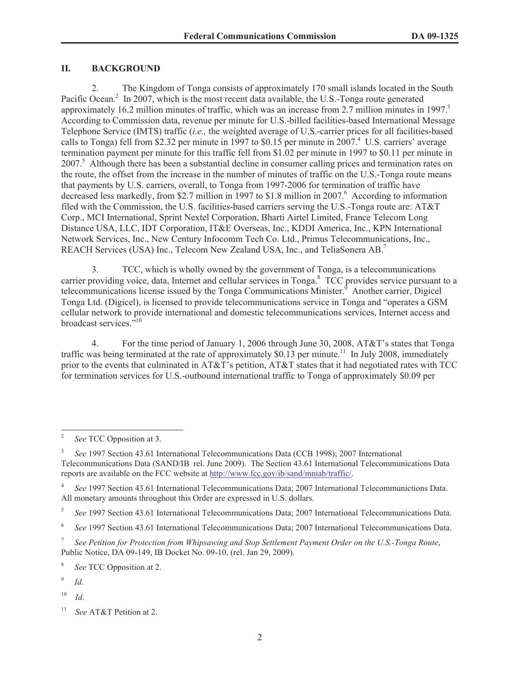### **II. BACKGROUND**

2. The Kingdom of Tonga consists of approximately 170 small islands located in the South Pacific Ocean.<sup>2</sup> In 2007, which is the most recent data available, the U.S.-Tonga route generated approximately 16.2 million minutes of traffic, which was an increase from 2.7 million minutes in 1997. $3$ According to Commission data, revenue per minute for U.S.-billed facilities-based International Message Telephone Service (IMTS) traffic (*i.e.,* the weighted average of U.S.-carrier prices for all facilities-based calls to Tonga) fell from \$2.32 per minute in 1997 to \$0.15 per minute in  $2007<sup>4</sup>$  U.S. carriers' average termination payment per minute for this traffic fell from \$1.02 per minute in 1997 to \$0.11 per minute in 2007.<sup>5</sup> Although there has been a substantial decline in consumer calling prices and termination rates on the route, the offset from the increase in the number of minutes of traffic on the U.S.-Tonga route means that payments by U.S. carriers, overall, to Tonga from 1997-2006 for termination of traffic have decreased less markedly, from \$2.7 million in 1997 to \$1.8 million in 2007.<sup>6</sup> According to information filed with the Commission, the U.S. facilities-based carriers serving the U.S.-Tonga route are: AT&T Corp., MCI International, Sprint Nextel Corporation, Bharti Airtel Limited, France Telecom Long Distance USA, LLC, IDT Corporation, IT&E Overseas, Inc., KDDI America, Inc., KPN International Network Services, Inc., New Century Infocomm Tech Co. Ltd., Primus Telecommunications, Inc., REACH Services (USA) Inc., Telecom New Zealand USA, Inc., and TeliaSonera AB.<sup>7</sup>

3. TCC, which is wholly owned by the government of Tonga, is a telecommunications carrier providing voice, data, Internet and cellular services in Tonga.<sup>8</sup> TCC provides service pursuant to a telecommunications license issued by the Tonga Communications Minister.<sup>9</sup> Another carrier, Digicel Tonga Ltd. (Digicel), is licensed to provide telecommunications service in Tonga and "operates a GSM cellular network to provide international and domestic telecommunications services, Internet access and broadcast services."<sup>10</sup>

4. For the time period of January 1, 2006 through June 30, 2008, AT&T's states that Tonga traffic was being terminated at the rate of approximately \$0.13 per minute.<sup>11</sup> In July 2008, immediately prior to the events that culminated in AT&T's petition, AT&T states that it had negotiated rates with TCC for termination services for U.S.-outbound international traffic to Tonga of approximately \$0.09 per

8 *See* TCC Opposition at 2.

 $10$  *Id.* 

<sup>2</sup> *See* TCC Opposition at 3.

<sup>3</sup> *See* 1997 Section 43.61 International Telecommunications Data (CCB 1998); 2007 International Telecommunications Data (SAND/IB rel. June 2009). The Section 43.61 International Telecommunications Data reports are available on the FCC website at http://www.fcc.gov/ib/sand/mniab/traffic/.

<sup>4</sup> *See* 1997 Section 43.61 International Telecommunications Data; 2007 International Telecommunictions Data. All monetary amounts throughout this Order are expressed in U.S. dollars.

<sup>5</sup> *See* 1997 Section 43.61 International Telecommunications Data; 2007 International Telecommunications Data.

<sup>6</sup> *See* 1997 Section 43.61 International Telecommunications Data; 2007 International Telecommunications Data.

<sup>7</sup> *See Petition for Protection from Whipsawing and Stop Settlement Payment Order on the U.S.-Tonga Route*, Public Notice, DA 09-149, IB Docket No. 09-10, (rel. Jan 29, 2009).

<sup>9</sup> *Id*.

<sup>11</sup> *See* AT&T Petition at 2.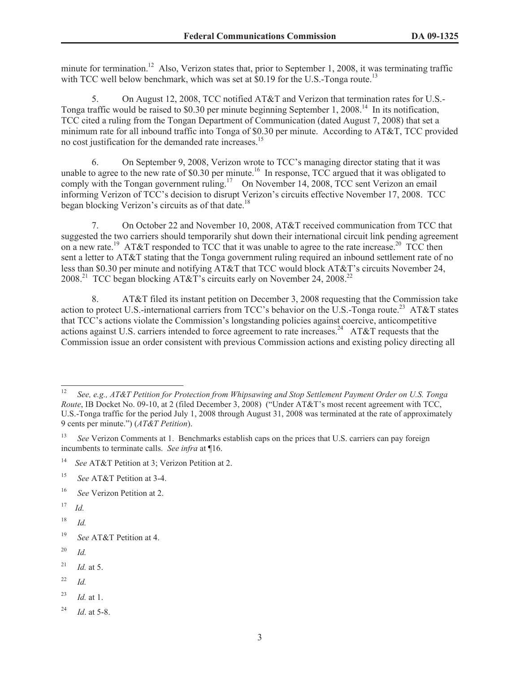minute for termination.<sup>12</sup> Also, Verizon states that, prior to September 1, 2008, it was terminating traffic with TCC well below benchmark, which was set at  $$0.19$  for the U.S.-Tonga route.<sup>13</sup>

5. On August 12, 2008, TCC notified AT&T and Verizon that termination rates for U.S.- Tonga traffic would be raised to \$0.30 per minute beginning September 1, 2008.<sup>14</sup> In its notification, TCC cited a ruling from the Tongan Department of Communication (dated August 7, 2008) that set a minimum rate for all inbound traffic into Tonga of \$0.30 per minute. According to AT&T, TCC provided no cost justification for the demanded rate increases.<sup>15</sup>

6. On September 9, 2008, Verizon wrote to TCC's managing director stating that it was unable to agree to the new rate of \$0.30 per minute.<sup>16</sup> In response, TCC argued that it was obligated to comply with the Tongan government ruling.<sup>17</sup> On November 14, 2008, TCC sent Verizon an email informing Verizon of TCC's decision to disrupt Verizon's circuits effective November 17, 2008. TCC began blocking Verizon's circuits as of that date.<sup>18</sup>

7. On October 22 and November 10, 2008, AT&T received communication from TCC that suggested the two carriers should temporarily shut down their international circuit link pending agreement on a new rate.<sup>19</sup> AT&T responded to TCC that it was unable to agree to the rate increase.<sup>20</sup> TCC then sent a letter to AT&T stating that the Tonga government ruling required an inbound settlement rate of no less than \$0.30 per minute and notifying AT&T that TCC would block AT&T's circuits November 24, 2008.<sup>21</sup> TCC began blocking AT&T's circuits early on November 24, 2008.<sup>22</sup>

8. AT&T filed its instant petition on December 3, 2008 requesting that the Commission take action to protect U.S.-international carriers from TCC's behavior on the U.S.-Tonga route.<sup>23</sup> AT&T states that TCC's actions violate the Commission's longstanding policies against coercive, anticompetitive actions against U.S. carriers intended to force agreement to rate increases.<sup>24</sup> AT&T requests that the Commission issue an order consistent with previous Commission actions and existing policy directing all

- <sup>16</sup> *See* Verizon Petition at 2.
- $17$  *Id.*
- <sup>18</sup> *Id.*

- <sup>20</sup> *Id.*
- <sup>21</sup> *Id.* at 5.
- <sup>22</sup> *Id.*
- <sup>23</sup> *Id.* at 1.
- <sup>24</sup> *Id*. at 5-8.

<sup>12</sup> *See, e.g., AT&T Petition for Protection from Whipsawing and Stop Settlement Payment Order on U.S. Tonga Route*, IB Docket No. 09-10, at 2 (filed December 3, 2008) ("Under AT&T's most recent agreement with TCC, U.S.-Tonga traffic for the period July 1, 2008 through August 31, 2008 was terminated at the rate of approximately 9 cents per minute.") (*AT&T Petition*).

<sup>&</sup>lt;sup>13</sup> *See* Verizon Comments at 1. Benchmarks establish caps on the prices that U.S. carriers can pay foreign incumbents to terminate calls. *See infra* at ¶16.

<sup>14</sup> *See* AT&T Petition at 3; Verizon Petition at 2.

<sup>15</sup> *See* AT&T Petition at 3-4.

<sup>19</sup> *See* AT&T Petition at 4.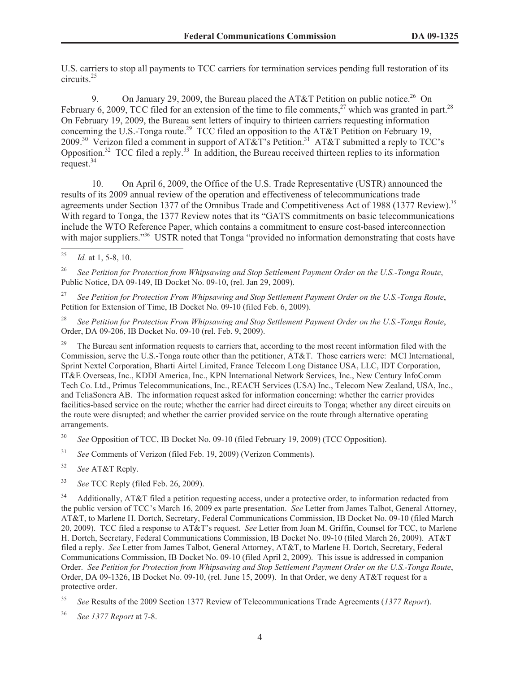U.S. carriers to stop all payments to TCC carriers for termination services pending full restoration of its circuits.<sup>25</sup>

9. On January 29, 2009, the Bureau placed the AT&T Petition on public notice.<sup>26</sup> On February 6, 2009, TCC filed for an extension of the time to file comments.<sup>27</sup> which was granted in part.<sup>28</sup> On February 19, 2009, the Bureau sent letters of inquiry to thirteen carriers requesting information concerning the U.S.-Tonga route.<sup>29</sup> TCC filed an opposition to the AT&T Petition on February 19, 2009.<sup>30</sup> Verizon filed a comment in support of AT&T's Petition.<sup>31</sup> AT&T submitted a reply to TCC's Opposition.<sup>32</sup> TCC filed a reply.<sup>33</sup> In addition, the Bureau received thirteen replies to its information request.<sup>34</sup>

10. On April 6, 2009, the Office of the U.S. Trade Representative (USTR) announced the results of its 2009 annual review of the operation and effectiveness of telecommunications trade agreements under Section 1377 of the Omnibus Trade and Competitiveness Act of 1988 (1377 Review).<sup>35</sup> With regard to Tonga, the 1377 Review notes that its "GATS commitments on basic telecommunications include the WTO Reference Paper, which contains a commitment to ensure cost-based interconnection with major suppliers."<sup>36</sup> USTR noted that Tonga "provided no information demonstrating that costs have

<sup>26</sup> *See Petition for Protection from Whipsawing and Stop Settlement Payment Order on the U.S.-Tonga Route*, Public Notice, DA 09-149, IB Docket No. 09-10, (rel. Jan 29, 2009).

<sup>27</sup> *See Petition for Protection From Whipsawing and Stop Settlement Payment Order on the U.S.-Tonga Route*, Petition for Extension of Time, IB Docket No. 09-10 (filed Feb. 6, 2009).

<sup>28</sup> *See Petition for Protection From Whipsawing and Stop Settlement Payment Order on the U.S.-Tonga Route*, Order, DA 09-206, IB Docket No. 09-10 (rel. Feb. 9, 2009).

<sup>29</sup> The Bureau sent information requests to carriers that, according to the most recent information filed with the Commission, serve the U.S.-Tonga route other than the petitioner, AT&T. Those carriers were: MCI International, Sprint Nextel Corporation, Bharti Airtel Limited, France Telecom Long Distance USA, LLC, IDT Corporation, IT&E Overseas, Inc., KDDI America, Inc., KPN International Network Services, Inc., New Century InfoComm Tech Co. Ltd., Primus Telecommunications, Inc., REACH Services (USA) Inc., Telecom New Zealand, USA, Inc., and TeliaSonera AB. The information request asked for information concerning: whether the carrier provides facilities-based service on the route; whether the carrier had direct circuits to Tonga; whether any direct circuits on the route were disrupted; and whether the carrier provided service on the route through alternative operating arrangements.

<sup>30</sup> *See* Opposition of TCC, IB Docket No. 09-10 (filed February 19, 2009) (TCC Opposition).

<sup>31</sup> *See* Comments of Verizon (filed Feb. 19, 2009) (Verizon Comments).

<sup>32</sup> *See* AT&T Reply.

<sup>33</sup> *See* TCC Reply (filed Feb. 26, 2009).

<sup>34</sup> Additionally, AT&T filed a petition requesting access, under a protective order, to information redacted from the public version of TCC's March 16, 2009 ex parte presentation. *See* Letter from James Talbot, General Attorney, AT&T, to Marlene H. Dortch, Secretary, Federal Communications Commission, IB Docket No. 09-10 (filed March 20, 2009). TCC filed a response to AT&T's request. *See* Letter from Joan M. Griffin, Counsel for TCC, to Marlene H. Dortch, Secretary, Federal Communications Commission, IB Docket No. 09-10 (filed March 26, 2009). AT&T filed a reply. *See* Letter from James Talbot, General Attorney, AT&T, to Marlene H. Dortch, Secretary, Federal Communications Commission, IB Docket No. 09-10 (filed April 2, 2009). This issue is addressed in companion Order. *See Petition for Protection from Whipsawing and Stop Settlement Payment Order on the U.S.-Tonga Route*, Order, DA 09-1326, IB Docket No. 09-10, (rel. June 15, 2009). In that Order, we deny AT&T request for a protective order.

 $\overline{25}$  *Id.* at 1, 5-8, 10.

<sup>35</sup> *See* Results of the 2009 Section 1377 Review of Telecommunications Trade Agreements (*1377 Report*).

<sup>36</sup> *See 1377 Report* at 7-8.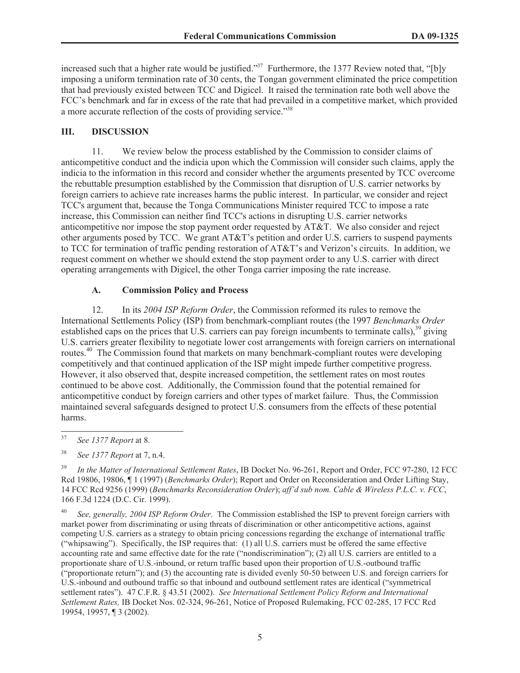increased such that a higher rate would be justified."<sup>37</sup> Furthermore, the 1377 Review noted that, "[b]y imposing a uniform termination rate of 30 cents, the Tongan government eliminated the price competition that had previously existed between TCC and Digicel. It raised the termination rate both well above the FCC's benchmark and far in excess of the rate that had prevailed in a competitive market, which provided a more accurate reflection of the costs of providing service."<sup>38</sup>

### **III. DISCUSSION**

11. We review below the process established by the Commission to consider claims of anticompetitive conduct and the indicia upon which the Commission will consider such claims, apply the indicia to the information in this record and consider whether the arguments presented by TCC overcome the rebuttable presumption established by the Commission that disruption of U.S. carrier networks by foreign carriers to achieve rate increases harms the public interest. In particular, we consider and reject TCC's argument that, because the Tonga Communications Minister required TCC to impose a rate increase, this Commission can neither find TCC's actions in disrupting U.S. carrier networks anticompetitive nor impose the stop payment order requested by AT&T. We also consider and reject other arguments posed by TCC. We grant AT&T's petition and order U.S. carriers to suspend payments to TCC for termination of traffic pending restoration of AT&T's and Verizon's circuits. In addition, we request comment on whether we should extend the stop payment order to any U.S. carrier with direct operating arrangements with Digicel, the other Tonga carrier imposing the rate increase.

# **A. Commission Policy and Process**

12. In its *2004 ISP Reform Order*, the Commission reformed its rules to remove the International Settlements Policy (ISP) from benchmark-compliant routes (the 1997 *Benchmarks Order* established caps on the prices that U.S. carriers can pay foreign incumbents to terminate calls),<sup>39</sup> giving U.S. carriers greater flexibility to negotiate lower cost arrangements with foreign carriers on international routes.<sup>40</sup> The Commission found that markets on many benchmark-compliant routes were developing competitively and that continued application of the ISP might impede further competitive progress. However, it also observed that, despite increased competition, the settlement rates on most routes continued to be above cost. Additionally, the Commission found that the potential remained for anticompetitive conduct by foreign carriers and other types of market failure. Thus, the Commission maintained several safeguards designed to protect U.S. consumers from the effects of these potential harms.

<sup>40</sup> *See, generally, 2004 ISP Reform Order*. The Commission established the ISP to prevent foreign carriers with market power from discriminating or using threats of discrimination or other anticompetitive actions, against competing U.S. carriers as a strategy to obtain pricing concessions regarding the exchange of international traffic ("whipsawing"). Specifically, the ISP requires that: (1) all U.S. carriers must be offered the same effective accounting rate and same effective date for the rate ("nondiscrimination"); (2) all U.S. carriers are entitled to a proportionate share of U.S.-inbound, or return traffic based upon their proportion of U.S.-outbound traffic ("proportionate return"); and (3) the accounting rate is divided evenly 50-50 between U.S. and foreign carriers for U.S.-inbound and outbound traffic so that inbound and outbound settlement rates are identical ("symmetrical settlement rates"). 47 C.F.R. § 43.51 (2002). *See International Settlement Policy Reform and International Settlement Rates,* IB Docket Nos. 02-324, 96-261, Notice of Proposed Rulemaking, FCC 02-285, 17 FCC Rcd 19954, 19957, ¶ 3 (2002).

<sup>37</sup> *See 1377 Report* at 8.

<sup>38</sup> *See 1377 Report* at 7, n.4.

<sup>39</sup> *In the Matter of International Settlement Rates*, IB Docket No. 96-261, Report and Order, FCC 97-280, 12 FCC Rcd 19806, 19806, ¶ 1 (1997) (*Benchmarks Order*); Report and Order on Reconsideration and Order Lifting Stay, 14 FCC Rcd 9256 (1999) (*Benchmarks Reconsideration Order*); *aff'd sub nom. Cable & Wireless P.L.C. v. FCC*, 166 F.3d 1224 (D.C. Cir. 1999).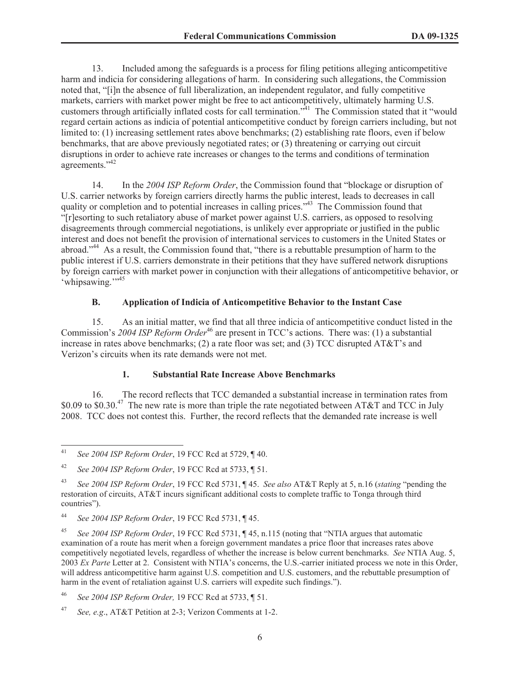13. Included among the safeguards is a process for filing petitions alleging anticompetitive harm and indicia for considering allegations of harm. In considering such allegations, the Commission noted that, "[i]n the absence of full liberalization, an independent regulator, and fully competitive markets, carriers with market power might be free to act anticompetitively, ultimately harming U.S. customers through artificially inflated costs for call termination."<sup>41</sup> The Commission stated that it "would regard certain actions as indicia of potential anticompetitive conduct by foreign carriers including, but not limited to: (1) increasing settlement rates above benchmarks; (2) establishing rate floors, even if below benchmarks, that are above previously negotiated rates; or (3) threatening or carrying out circuit disruptions in order to achieve rate increases or changes to the terms and conditions of termination agreements."<sup>42</sup>

14. In the *2004 ISP Reform Order*, the Commission found that "blockage or disruption of U.S. carrier networks by foreign carriers directly harms the public interest, leads to decreases in call quality or completion and to potential increases in calling prices."<sup>43</sup> The Commission found that "[r]esorting to such retaliatory abuse of market power against U.S. carriers, as opposed to resolving disagreements through commercial negotiations, is unlikely ever appropriate or justified in the public interest and does not benefit the provision of international services to customers in the United States or abroad."<sup>44</sup> As a result, the Commission found that, "there is a rebuttable presumption of harm to the public interest if U.S. carriers demonstrate in their petitions that they have suffered network disruptions by foreign carriers with market power in conjunction with their allegations of anticompetitive behavior, or 'whipsawing."<sup>15</sup>

### **B. Application of Indicia of Anticompetitive Behavior to the Instant Case**

15. As an initial matter, we find that all three indicia of anticompetitive conduct listed in the Commission's 2004 ISP Reform Order<sup>46</sup> are present in TCC's actions. There was: (1) a substantial increase in rates above benchmarks; (2) a rate floor was set; and (3) TCC disrupted AT&T's and Verizon's circuits when its rate demands were not met.

### **1. Substantial Rate Increase Above Benchmarks**

16. The record reflects that TCC demanded a substantial increase in termination rates from \$0.09 to \$0.30.<sup>47</sup> The new rate is more than triple the rate negotiated between AT&T and TCC in July 2008. TCC does not contest this. Further, the record reflects that the demanded rate increase is well

<sup>41</sup> *See 2004 ISP Reform Order*, 19 FCC Rcd at 5729, ¶ 40.

<sup>42</sup> *See 2004 ISP Reform Order*, 19 FCC Rcd at 5733, ¶ 51.

<sup>43</sup> *See 2004 ISP Reform Order*, 19 FCC Rcd 5731, ¶ 45. *See also* AT&T Reply at 5, n.16 (*stating* "pending the restoration of circuits, AT&T incurs significant additional costs to complete traffic to Tonga through third countries").

<sup>44</sup> *See 2004 ISP Reform Order*, 19 FCC Rcd 5731, ¶ 45.

<sup>45</sup> *See 2004 ISP Reform Order*, 19 FCC Rcd 5731, ¶ 45, n.115 (noting that "NTIA argues that automatic examination of a route has merit when a foreign government mandates a price floor that increases rates above competitively negotiated levels, regardless of whether the increase is below current benchmarks. *See* NTIA Aug. 5, 2003 *Ex Parte* Letter at 2. Consistent with NTIA's concerns, the U.S.-carrier initiated process we note in this Order, will address anticompetitive harm against U.S. competition and U.S. customers, and the rebuttable presumption of harm in the event of retaliation against U.S. carriers will expedite such findings.").

<sup>46</sup> *See 2004 ISP Reform Order,* 19 FCC Rcd at 5733, ¶ 51.

<sup>47</sup> *See, e.g*., AT&T Petition at 2-3; Verizon Comments at 1-2.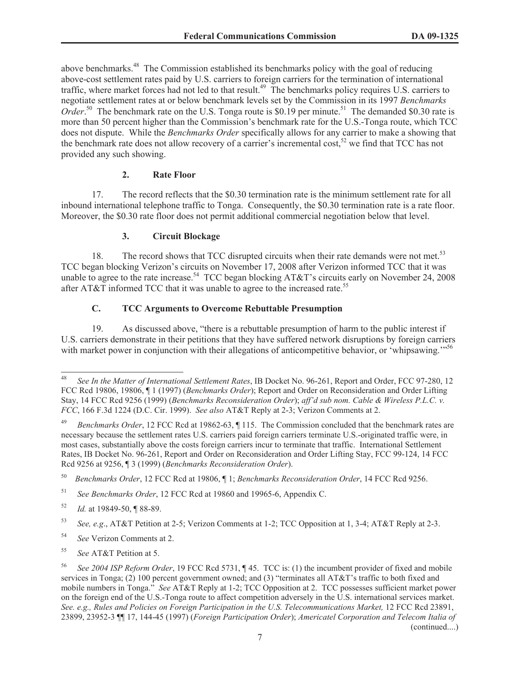above benchmarks.<sup>48</sup> The Commission established its benchmarks policy with the goal of reducing above-cost settlement rates paid by U.S. carriers to foreign carriers for the termination of international traffic, where market forces had not led to that result.<sup>49</sup> The benchmarks policy requires U.S. carriers to negotiate settlement rates at or below benchmark levels set by the Commission in its 1997 *Benchmarks*  Order.<sup>50</sup> The benchmark rate on the U.S. Tonga route is \$0.19 per minute.<sup>51</sup> The demanded \$0.30 rate is more than 50 percent higher than the Commission's benchmark rate for the U.S.-Tonga route, which TCC does not dispute. While the *Benchmarks Order* specifically allows for any carrier to make a showing that the benchmark rate does not allow recovery of a carrier's incremental cost,<sup>52</sup> we find that TCC has not provided any such showing.

### **2. Rate Floor**

17. The record reflects that the \$0.30 termination rate is the minimum settlement rate for all inbound international telephone traffic to Tonga. Consequently, the \$0.30 termination rate is a rate floor. Moreover, the \$0.30 rate floor does not permit additional commercial negotiation below that level.

### **3. Circuit Blockage**

18. The record shows that TCC disrupted circuits when their rate demands were not met.<sup>53</sup> TCC began blocking Verizon's circuits on November 17, 2008 after Verizon informed TCC that it was unable to agree to the rate increase.<sup>54</sup> TCC began blocking AT&T's circuits early on November 24, 2008 after AT&T informed TCC that it was unable to agree to the increased rate.<sup>55</sup>

# **C. TCC Arguments to Overcome Rebuttable Presumption**

19. As discussed above, "there is a rebuttable presumption of harm to the public interest if U.S. carriers demonstrate in their petitions that they have suffered network disruptions by foreign carriers with market power in conjunction with their allegations of anticompetitive behavior, or 'whipsawing."<sup>56</sup>

<sup>48</sup> *See In the Matter of International Settlement Rates*, IB Docket No. 96-261, Report and Order, FCC 97-280, 12 FCC Rcd 19806, 19806, ¶ 1 (1997) (*Benchmarks Order*); Report and Order on Reconsideration and Order Lifting Stay, 14 FCC Rcd 9256 (1999) (*Benchmarks Reconsideration Order*); *aff'd sub nom. Cable & Wireless P.L.C. v. FCC*, 166 F.3d 1224 (D.C. Cir. 1999). *See also* AT&T Reply at 2-3; Verizon Comments at 2.

<sup>49</sup> *Benchmarks Order*, 12 FCC Rcd at 19862-63, ¶ 115. The Commission concluded that the benchmark rates are necessary because the settlement rates U.S. carriers paid foreign carriers terminate U.S.-originated traffic were, in most cases, substantially above the costs foreign carriers incur to terminate that traffic. International Settlement Rates, IB Docket No. 96-261, Report and Order on Reconsideration and Order Lifting Stay, FCC 99-124, 14 FCC Rcd 9256 at 9256, ¶ 3 (1999) (*Benchmarks Reconsideration Order*).

<sup>50</sup> *Benchmarks Order*, 12 FCC Rcd at 19806, ¶ 1; *Benchmarks Reconsideration Order*, 14 FCC Rcd 9256.

<sup>51</sup> *See Benchmarks Order*, 12 FCC Rcd at 19860 and 19965-6, Appendix C.

<sup>52</sup> *Id.* at 19849-50, ¶ 88-89.

<sup>53</sup> *See, e.g*., AT&T Petition at 2-5; Verizon Comments at 1-2; TCC Opposition at 1, 3-4; AT&T Reply at 2-3.

<sup>54</sup> *See* Verizon Comments at 2.

<sup>55</sup> *See* AT&T Petition at 5.

<sup>56</sup> *See 2004 ISP Reform Order*, 19 FCC Rcd 5731, ¶ 45. TCC is: (1) the incumbent provider of fixed and mobile services in Tonga; (2) 100 percent government owned; and (3) "terminates all AT&T's traffic to both fixed and mobile numbers in Tonga." *See* AT&T Reply at 1-2; TCC Opposition at 2. TCC possesses sufficient market power on the foreign end of the U.S.-Tonga route to affect competition adversely in the U.S. international services market. *See. e.g., Rules and Policies on Foreign Participation in the U.S. Telecommunications Market,* 12 FCC Rcd 23891, 23899, 23952-3 ¶¶ 17, 144-45 (1997) (*Foreign Participation Order*); *Americatel Corporation and Telecom Italia of*  (continued....)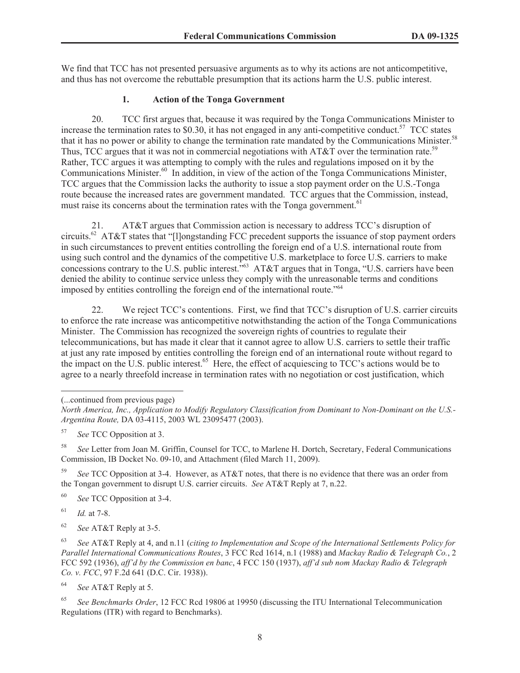We find that TCC has not presented persuasive arguments as to why its actions are not anticompetitive, and thus has not overcome the rebuttable presumption that its actions harm the U.S. public interest.

### **1. Action of the Tonga Government**

20. TCC first argues that, because it was required by the Tonga Communications Minister to increase the termination rates to \$0.30, it has not engaged in any anti-competitive conduct.<sup>57</sup> TCC states that it has no power or ability to change the termination rate mandated by the Communications Minister.<sup>58</sup> Thus, TCC argues that it was not in commercial negotiations with AT&T over the termination rate.<sup>59</sup> Rather, TCC argues it was attempting to comply with the rules and regulations imposed on it by the Communications Minister.<sup>60</sup> In addition, in view of the action of the Tonga Communications Minister, TCC argues that the Commission lacks the authority to issue a stop payment order on the U.S.-Tonga route because the increased rates are government mandated. TCC argues that the Commission, instead, must raise its concerns about the termination rates with the Tonga government.<sup>61</sup>

21. AT&T argues that Commission action is necessary to address TCC's disruption of circuits.<sup>62</sup> AT&T states that "[l]ongstanding FCC precedent supports the issuance of stop payment orders in such circumstances to prevent entities controlling the foreign end of a U.S. international route from using such control and the dynamics of the competitive U.S. marketplace to force U.S. carriers to make concessions contrary to the U.S. public interest.<sup>263</sup> AT&T argues that in Tonga, "U.S. carriers have been denied the ability to continue service unless they comply with the unreasonable terms and conditions imposed by entities controlling the foreign end of the international route."<sup>64</sup>

22. We reject TCC's contentions. First, we find that TCC's disruption of U.S. carrier circuits to enforce the rate increase was anticompetitive notwithstanding the action of the Tonga Communications Minister. The Commission has recognized the sovereign rights of countries to regulate their telecommunications, but has made it clear that it cannot agree to allow U.S. carriers to settle their traffic at just any rate imposed by entities controlling the foreign end of an international route without regard to the impact on the U.S. public interest.<sup>65</sup> Here, the effect of acquiescing to TCC's actions would be to agree to a nearly threefold increase in termination rates with no negotiation or cost justification, which

(...continued from previous page)

<sup>58</sup> *See* Letter from Joan M. Griffin, Counsel for TCC, to Marlene H. Dortch, Secretary, Federal Communications Commission, IB Docket No. 09-10, and Attachment (filed March 11, 2009).

<sup>59</sup> *See* TCC Opposition at 3-4. However, as AT&T notes, that there is no evidence that there was an order from the Tongan government to disrupt U.S. carrier circuits. *See* AT&T Reply at 7, n.22.

<sup>60</sup> *See* TCC Opposition at 3-4.

<sup>61</sup> *Id.* at 7-8.

<sup>62</sup> *See* AT&T Reply at 3-5.

<sup>63</sup> *See* AT&T Reply at 4, and n.11 (*citing to Implementation and Scope of the International Settlements Policy for Parallel International Communications Routes*, 3 FCC Rcd 1614, n.1 (1988) and *Mackay Radio & Telegraph Co.*, 2 FCC 592 (1936), *aff'd by the Commission en banc*, 4 FCC 150 (1937), *aff'd sub nom Mackay Radio & Telegraph Co. v. FCC*, 97 F.2d 641 (D.C. Cir. 1938)).

<sup>64</sup> *See* AT&T Reply at 5.

<sup>65</sup> *See Benchmarks Order*, 12 FCC Rcd 19806 at 19950 (discussing the ITU International Telecommunication Regulations (ITR) with regard to Benchmarks).

*North America, Inc., Application to Modify Regulatory Classification from Dominant to Non-Dominant on the U.S.- Argentina Route,* DA 03-4115, 2003 WL 23095477 (2003).

<sup>57</sup> *See* TCC Opposition at 3.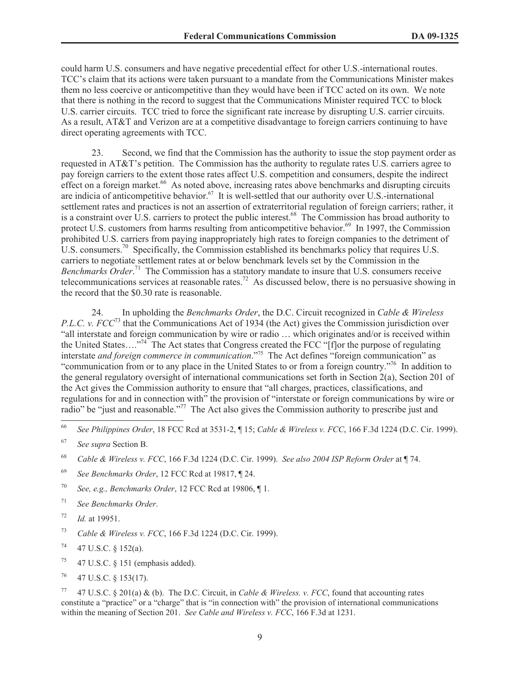could harm U.S. consumers and have negative precedential effect for other U.S.-international routes. TCC's claim that its actions were taken pursuant to a mandate from the Communications Minister makes them no less coercive or anticompetitive than they would have been if TCC acted on its own. We note that there is nothing in the record to suggest that the Communications Minister required TCC to block U.S. carrier circuits. TCC tried to force the significant rate increase by disrupting U.S. carrier circuits. As a result, AT&T and Verizon are at a competitive disadvantage to foreign carriers continuing to have direct operating agreements with TCC.

23. Second, we find that the Commission has the authority to issue the stop payment order as requested in AT&T's petition. The Commission has the authority to regulate rates U.S. carriers agree to pay foreign carriers to the extent those rates affect U.S. competition and consumers, despite the indirect effect on a foreign market.<sup>66</sup> As noted above, increasing rates above benchmarks and disrupting circuits are indicia of anticompetitive behavior.<sup>67</sup> It is well-settled that our authority over U.S.-international settlement rates and practices is not an assertion of extraterritorial regulation of foreign carriers; rather, it is a constraint over U.S. carriers to protect the public interest.<sup>68</sup> The Commission has broad authority to protect U.S. customers from harms resulting from anticompetitive behavior.<sup>69</sup> In 1997, the Commission prohibited U.S. carriers from paying inappropriately high rates to foreign companies to the detriment of U.S. consumers.<sup>70</sup> Specifically, the Commission established its benchmarks policy that requires U.S. carriers to negotiate settlement rates at or below benchmark levels set by the Commission in the *Benchmarks Order*. <sup>71</sup> The Commission has a statutory mandate to insure that U.S. consumers receive telecommunications services at reasonable rates.<sup>72</sup> As discussed below, there is no persuasive showing in the record that the \$0.30 rate is reasonable.

24. In upholding the *Benchmarks Order*, the D.C. Circuit recognized in *Cable & Wireless P.L.C. v. FCC*<sup>73</sup> that the Communications Act of 1934 (the Act) gives the Commission jurisdiction over "all interstate and foreign communication by wire or radio … which originates and/or is received within the United States…."<sup>74</sup> The Act states that Congress created the FCC "[f]or the purpose of regulating interstate *and foreign commerce in communication*."<sup>75</sup> The Act defines "foreign communication" as "communication from or to any place in the United States to or from a foreign country."<sup>76</sup> In addition to the general regulatory oversight of international communications set forth in Section 2(a), Section 201 of the Act gives the Commission authority to ensure that "all charges, practices, classifications, and regulations for and in connection with" the provision of "interstate or foreign communications by wire or radio" be "just and reasonable."<sup>77</sup> The Act also gives the Commission authority to prescribe just and

- <sup>69</sup> *See Benchmarks Order*, 12 FCC Rcd at 19817, ¶ 24.
- <sup>70</sup> *See, e.g., Benchmarks Order*, 12 FCC Rcd at 19806, ¶ 1.
- <sup>71</sup> *See Benchmarks Order*.
- <sup>72</sup> *Id.* at 19951.
- <sup>73</sup> *Cable & Wireless v. FCC*, 166 F.3d 1224 (D.C. Cir. 1999).
- $74$  47 U.S.C. § 152(a).
- <sup>75</sup> 47 U.S.C.  $\S$  151 (emphasis added).
- $76$  47 U.S.C. § 153(17).

<sup>77</sup> 47 U.S.C. § 201(a) & (b). The D.C. Circuit, in *Cable & Wireless. v. FCC*, found that accounting rates constitute a "practice" or a "charge" that is "in connection with" the provision of international communications within the meaning of Section 201. *See Cable and Wireless v. FCC*, 166 F.3d at 1231.

<sup>66</sup> *See Philippines Order*, 18 FCC Rcd at 3531-2, ¶ 15; *Cable & Wireless v. FCC*, 166 F.3d 1224 (D.C. Cir. 1999).

<sup>67</sup> *See supra* Section B.

<sup>68</sup> *Cable & Wireless v. FCC*, 166 F.3d 1224 (D.C. Cir. 1999). *See also 2004 ISP Reform Order* at ¶ 74.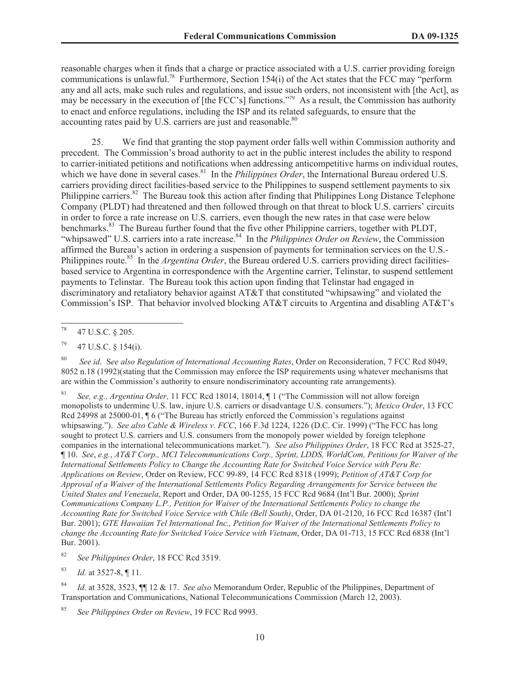reasonable charges when it finds that a charge or practice associated with a U.S. carrier providing foreign communications is unlawful.<sup>78</sup> Furthermore, Section 154(i) of the Act states that the FCC may "perform" any and all acts, make such rules and regulations, and issue such orders, not inconsistent with [the Act], as may be necessary in the execution of [the FCC's] functions."<sup>79</sup> As a result, the Commission has authority to enact and enforce regulations, including the ISP and its related safeguards, to ensure that the accounting rates paid by U.S. carriers are just and reasonable.<sup>80</sup>

25. We find that granting the stop payment order falls well within Commission authority and precedent. The Commission's broad authority to act in the public interest includes the ability to respond to carrier-initiated petitions and notifications when addressing anticompetitive harms on individual routes, which we have done in several cases.<sup>81</sup> In the *Philippines Order*, the International Bureau ordered U.S. carriers providing direct facilities-based service to the Philippines to suspend settlement payments to six Philippine carriers.<sup>82</sup> The Bureau took this action after finding that Philippines Long Distance Telephone Company (PLDT) had threatened and then followed through on that threat to block U.S. carriers' circuits in order to force a rate increase on U.S. carriers, even though the new rates in that case were below benchmarks.<sup>83</sup> The Bureau further found that the five other Philippine carriers, together with PLDT, "whipsawed" U.S. carriers into a rate increase.<sup>84</sup> In the *Philippines Order on Review*, the Commission affirmed the Bureau's action in ordering a suspension of payments for termination services on the U.S.- Philippines route.<sup>85</sup> In the *Argentina Order*, the Bureau ordered U.S. carriers providing direct facilitiesbased service to Argentina in correspondence with the Argentine carrier, Telinstar, to suspend settlement payments to Telinstar. The Bureau took this action upon finding that Telinstar had engaged in discriminatory and retaliatory behavior against AT&T that constituted "whipsawing" and violated the Commission's ISP. That behavior involved blocking AT&T circuits to Argentina and disabling AT&T's

 $^{79}$  47 U.S.C. § 154(i).

<sup>80</sup> *See id*. S*ee also Regulation of International Accounting Rates*, Order on Reconsideration, 7 FCC Rcd 8049, 8052 n.18 (1992)(stating that the Commission may enforce the ISP requirements using whatever mechanisms that are within the Commission's authority to ensure nondiscriminatory accounting rate arrangements).

<sup>81</sup> *See, e.g., Argentina Order,* 11 FCC Rcd 18014, 18014, ¶ 1 ("The Commission will not allow foreign monopolists to undermine U.S. law, injure U.S. carriers or disadvantage U.S. consumers."); *Mexico Order*, 13 FCC Rcd 24998 at 25000-01,  $\parallel$  6 ("The Bureau has strictly enforced the Commission's regulations against whipsawing."). *See also Cable & Wireless v. FCC*, 166 F.3d 1224, 1226 (D.C. Cir. 1999) ("The FCC has long sought to protect U.S. carriers and U.S. consumers from the monopoly power wielded by foreign telephone companies in the international telecommunications market."). *See also Philippines Order*, 18 FCC Rcd at 3525-27, ¶ 10. *See*, *e.g.*, *AT&T Corp., MCI Telecommunications Corp., Sprint, LDDS, WorldCom, Petitions for Waiver of the International Settlements Policy to Change the Accounting Rate for Switched Voice Service with Peru Re: Applications on Review*, Order on Review, FCC 99-89, 14 FCC Rcd 8318 (1999); *Petition of AT&T Corp for Approval of a Waiver of the International Settlements Policy Regarding Arrangements for Service between the United States and Venezuela*, Report and Order, DA 00-1255, 15 FCC Rcd 9684 (Int'l Bur. 2000); *Sprint Communications Company L.P., Petition for Waiver of the International Settlements Policy to change the Accounting Rate for Switched Voice Service with Chile (Bell South)*, Order, DA 01-2120, 16 FCC Rcd 16387 (Int'l Bur. 2001); *GTE Hawaiian Tel International Inc., Petition for Waiver of the International Settlements Policy to change the Accounting Rate for Switched Voice Service with Vietnam*, Order, DA 01-713, 15 FCC Rcd 6838 (Int'l Bur. 2001).

<sup>82</sup> *See Philippines Order*, 18 FCC Rcd 3519.

<sup>83</sup> *Id.* at 3527-8, ¶ 11.

<sup>84</sup> *Id*. at 3528, 3523, ¶¶ 12 & 17. *See also* Memorandum Order, Republic of the Philippines, Department of Transportation and Communications, National Telecommunications Commission (March 12, 2003).

<sup>85</sup> *See Philippines Order on Review*, 19 FCC Rcd 9993.

<sup>78</sup> 47 U.S.C. § 205.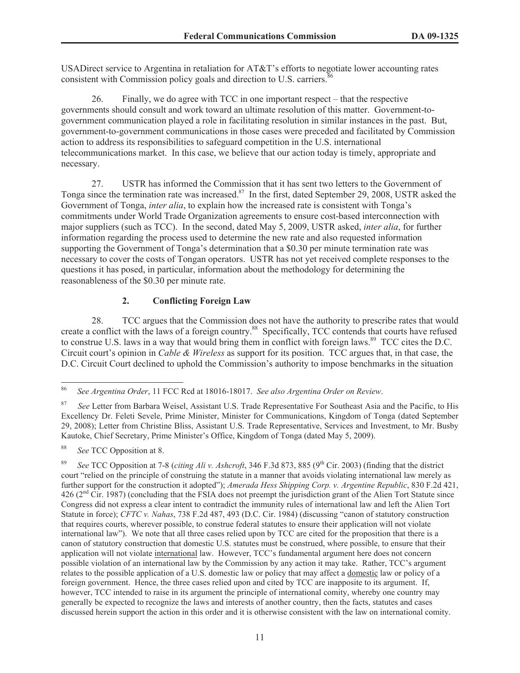USADirect service to Argentina in retaliation for AT&T's efforts to negotiate lower accounting rates consistent with Commission policy goals and direction to U.S. carriers.<sup>8</sup>

26. Finally, we do agree with TCC in one important respect – that the respective governments should consult and work toward an ultimate resolution of this matter. Government-togovernment communication played a role in facilitating resolution in similar instances in the past. But, government-to-government communications in those cases were preceded and facilitated by Commission action to address its responsibilities to safeguard competition in the U.S. international telecommunications market. In this case, we believe that our action today is timely, appropriate and necessary.

27. USTR has informed the Commission that it has sent two letters to the Government of Tonga since the termination rate was increased.<sup>87</sup> In the first, dated September 29, 2008, USTR asked the Government of Tonga, *inter alia*, to explain how the increased rate is consistent with Tonga's commitments under World Trade Organization agreements to ensure cost-based interconnection with major suppliers (such as TCC). In the second, dated May 5, 2009, USTR asked, *inter alia*, for further information regarding the process used to determine the new rate and also requested information supporting the Government of Tonga's determination that a \$0.30 per minute termination rate was necessary to cover the costs of Tongan operators. USTR has not yet received complete responses to the questions it has posed, in particular, information about the methodology for determining the reasonableness of the \$0.30 per minute rate.

### **2. Conflicting Foreign Law**

28. TCC argues that the Commission does not have the authority to prescribe rates that would create a conflict with the laws of a foreign country.<sup>88</sup> Specifically, TCC contends that courts have refused to construe U.S. laws in a way that would bring them in conflict with foreign laws.<sup>89</sup> TCC cites the D.C. Circuit court's opinion in *Cable & Wireless* as support for its position. TCC argues that, in that case, the D.C. Circuit Court declined to uphold the Commission's authority to impose benchmarks in the situation

<sup>86</sup> *See Argentina Order*, 11 FCC Rcd at 18016-18017. *See also Argentina Order on Review*.

<sup>87</sup> *See* Letter from Barbara Weisel, Assistant U.S. Trade Representative For Southeast Asia and the Pacific, to His Excellency Dr. Feleti Sevele, Prime Minister, Minister for Communications, Kingdom of Tonga (dated September 29, 2008); Letter from Christine Bliss, Assistant U.S. Trade Representative, Services and Investment, to Mr. Busby Kautoke, Chief Secretary, Prime Minister's Office, Kingdom of Tonga (dated May 5, 2009).

<sup>88</sup> *See* TCC Opposition at 8.

See TCC Opposition at 7-8 (*citing Ali v. Ashcroft*, 346 F.3d 873, 885 (9<sup>th</sup> Cir. 2003) (finding that the district court "relied on the principle of construing the statute in a manner that avoids violating international law merely as further support for the construction it adopted"); *Amerada Hess Shipping Corp. v. Argentine Republic*, 830 F.2d 421,  $426$  ( $2<sup>nd</sup>$  Cir. 1987) (concluding that the FSIA does not preempt the jurisdiction grant of the Alien Tort Statute since Congress did not express a clear intent to contradict the immunity rules of international law and left the Alien Tort Statute in force); *CFTC v. Nahas*, 738 F.2d 487, 493 (D.C. Cir. 1984) (discussing "canon of statutory construction that requires courts, wherever possible, to construe federal statutes to ensure their application will not violate international law"). We note that all three cases relied upon by TCC are cited for the proposition that there is a canon of statutory construction that domestic U.S. statutes must be construed, where possible, to ensure that their application will not violate international law. However, TCC's fundamental argument here does not concern possible violation of an international law by the Commission by any action it may take. Rather, TCC's argument relates to the possible application of a U.S. domestic law or policy that may affect a domestic law or policy of a foreign government. Hence, the three cases relied upon and cited by TCC are inapposite to its argument. If, however, TCC intended to raise in its argument the principle of international comity, whereby one country may generally be expected to recognize the laws and interests of another country, then the facts, statutes and cases discussed herein support the action in this order and it is otherwise consistent with the law on international comity.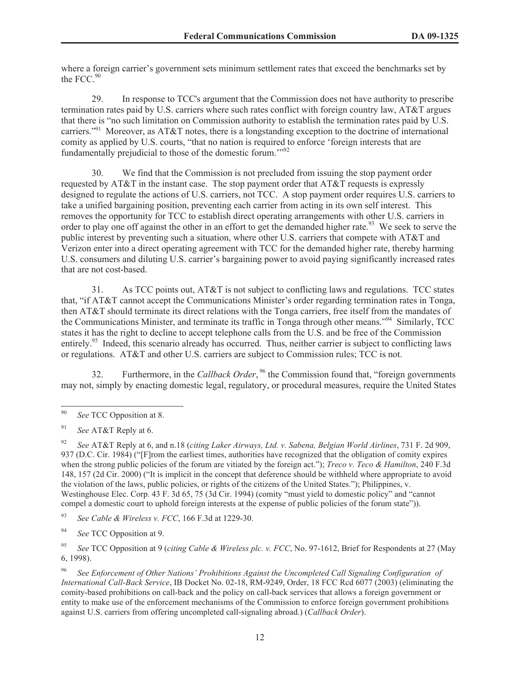where a foreign carrier's government sets minimum settlement rates that exceed the benchmarks set by the FCC $^{90}$ 

29. In response to TCC's argument that the Commission does not have authority to prescribe termination rates paid by U.S. carriers where such rates conflict with foreign country law, AT&T argues that there is "no such limitation on Commission authority to establish the termination rates paid by U.S. carriers."<sup>91</sup> Moreover, as AT&T notes, there is a longstanding exception to the doctrine of international comity as applied by U.S. courts, "that no nation is required to enforce 'foreign interests that are fundamentally prejudicial to those of the domestic forum."<sup>92</sup>

30. We find that the Commission is not precluded from issuing the stop payment order requested by AT&T in the instant case. The stop payment order that AT&T requests is expressly designed to regulate the actions of U.S. carriers, not TCC. A stop payment order requires U.S. carriers to take a unified bargaining position, preventing each carrier from acting in its own self interest. This removes the opportunity for TCC to establish direct operating arrangements with other U.S. carriers in order to play one off against the other in an effort to get the demanded higher rate.<sup>93</sup> We seek to serve the public interest by preventing such a situation, where other U.S. carriers that compete with AT&T and Verizon enter into a direct operating agreement with TCC for the demanded higher rate, thereby harming U.S. consumers and diluting U.S. carrier's bargaining power to avoid paying significantly increased rates that are not cost-based.

31. As TCC points out, AT&T is not subject to conflicting laws and regulations. TCC states that, "if AT&T cannot accept the Communications Minister's order regarding termination rates in Tonga, then AT&T should terminate its direct relations with the Tonga carriers, free itself from the mandates of the Communications Minister, and terminate its traffic in Tonga through other means."<sup>94</sup> Similarly, TCC states it has the right to decline to accept telephone calls from the U.S. and be free of the Commission entirely.<sup>95</sup> Indeed, this scenario already has occurred. Thus, neither carrier is subject to conflicting laws or regulations. AT&T and other U.S. carriers are subject to Commission rules; TCC is not.

32. Furthermore, in the *Callback Order*, <sup>96</sup> the Commission found that, "foreign governments may not, simply by enacting domestic legal, regulatory, or procedural measures, require the United States

<sup>92</sup> *See* AT&T Reply at 6, and n.18 (*citing Laker Airways, Ltd. v. Sabena, Belgian World Airlines*, 731 F. 2d 909, 937 (D.C. Cir. 1984) ("[F]rom the earliest times, authorities have recognized that the obligation of comity expires when the strong public policies of the forum are vitiated by the foreign act."); *Treco v. Teco & Hamilton*, 240 F.3d 148, 157 (2d Cir. 2000) ("It is implicit in the concept that deference should be withheld where appropriate to avoid the violation of the laws, public policies, or rights of the citizens of the United States."); Philippines, v. Westinghouse Elec. Corp. 43 F. 3d 65, 75 (3d Cir. 1994) (comity "must yield to domestic policy" and "cannot compel a domestic court to uphold foreign interests at the expense of public policies of the forum state")).

<sup>93</sup> *See Cable & Wireless v. FCC*, 166 F.3d at 1229-30.

<sup>94</sup> *See* TCC Opposition at 9.

<sup>95</sup> *See* TCC Opposition at 9 (*citing Cable & Wireless plc. v. FCC*, No. 97-1612, Brief for Respondents at 27 (May 6, 1998).

<sup>96</sup> *See Enforcement of Other Nations' Prohibitions Against the Uncompleted Call Signaling Configuration of International Call-Back Service*, IB Docket No. 02-18, RM-9249, Order, 18 FCC Rcd 6077 (2003) (eliminating the comity-based prohibitions on call-back and the policy on call-back services that allows a foreign government or entity to make use of the enforcement mechanisms of the Commission to enforce foreign government prohibitions against U.S. carriers from offering uncompleted call-signaling abroad.) (*Callback Order*).

<sup>90</sup> *See* TCC Opposition at 8.

<sup>91</sup> *See* AT&T Reply at 6.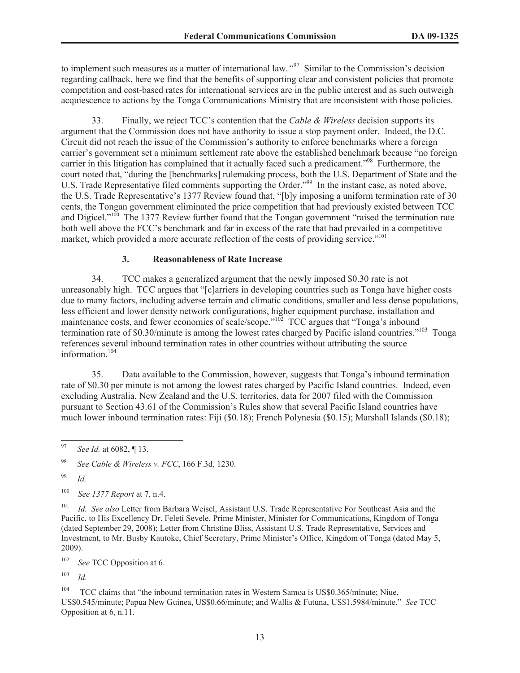to implement such measures as a matter of international law. "<sup>97</sup> Similar to the Commission's decision regarding callback, here we find that the benefits of supporting clear and consistent policies that promote competition and cost-based rates for international services are in the public interest and as such outweigh acquiescence to actions by the Tonga Communications Ministry that are inconsistent with those policies.

33. Finally, we reject TCC's contention that the *Cable & Wireless* decision supports its argument that the Commission does not have authority to issue a stop payment order. Indeed, the D.C. Circuit did not reach the issue of the Commission's authority to enforce benchmarks where a foreign carrier's government set a minimum settlement rate above the established benchmark because "no foreign carrier in this litigation has complained that it actually faced such a predicament."<sup>98</sup> Furthermore, the court noted that, "during the [benchmarks] rulemaking process, both the U.S. Department of State and the U.S. Trade Representative filed comments supporting the Order."<sup>99</sup> In the instant case, as noted above, the U.S. Trade Representative's 1377 Review found that, "[b]y imposing a uniform termination rate of 30 cents, the Tongan government eliminated the price competition that had previously existed between TCC and Digicel."<sup>100</sup> The 1377 Review further found that the Tongan government "raised the termination rate both well above the FCC's benchmark and far in excess of the rate that had prevailed in a competitive market, which provided a more accurate reflection of the costs of providing service."<sup>101</sup>

### **3. Reasonableness of Rate Increase**

34. TCC makes a generalized argument that the newly imposed \$0.30 rate is not unreasonably high. TCC argues that "[c]arriers in developing countries such as Tonga have higher costs due to many factors, including adverse terrain and climatic conditions, smaller and less dense populations, less efficient and lower density network configurations, higher equipment purchase, installation and maintenance costs, and fewer economies of scale/scope."<sup>102</sup> TCC argues that "Tonga's inbound termination rate of \$0.30/minute is among the lowest rates charged by Pacific island countries."<sup>103</sup> Tonga references several inbound termination rates in other countries without attributing the source information.<sup>104</sup>

35. Data available to the Commission, however, suggests that Tonga's inbound termination rate of \$0.30 per minute is not among the lowest rates charged by Pacific Island countries. Indeed, even excluding Australia, New Zealand and the U.S. territories, data for 2007 filed with the Commission pursuant to Section 43.61 of the Commission's Rules show that several Pacific Island countries have much lower inbound termination rates: Fiji (\$0.18); French Polynesia (\$0.15); Marshall Islands (\$0.18);

<sup>102</sup> *See* TCC Opposition at 6.

<sup>103</sup> *Id.*

<sup>104</sup> TCC claims that "the inbound termination rates in Western Samoa is US\$0.365/minute; Niue, US\$0.545/minute; Papua New Guinea, US\$0.66/minute; and Wallis & Futuna, US\$1.5984/minute." *See* TCC Opposition at 6, n.11.

<sup>97</sup> *See Id.* at 6082, ¶ 13.

<sup>98</sup> *See Cable & Wireless v. FCC*, 166 F.3d, 1230.

<sup>99</sup> *Id.*

<sup>100</sup> *See 1377 Report* at 7, n.4.

<sup>101</sup> *Id. See also* Letter from Barbara Weisel, Assistant U.S. Trade Representative For Southeast Asia and the Pacific, to His Excellency Dr. Feleti Sevele, Prime Minister, Minister for Communications, Kingdom of Tonga (dated September 29, 2008); Letter from Christine Bliss, Assistant U.S. Trade Representative, Services and Investment, to Mr. Busby Kautoke, Chief Secretary, Prime Minister's Office, Kingdom of Tonga (dated May 5, 2009).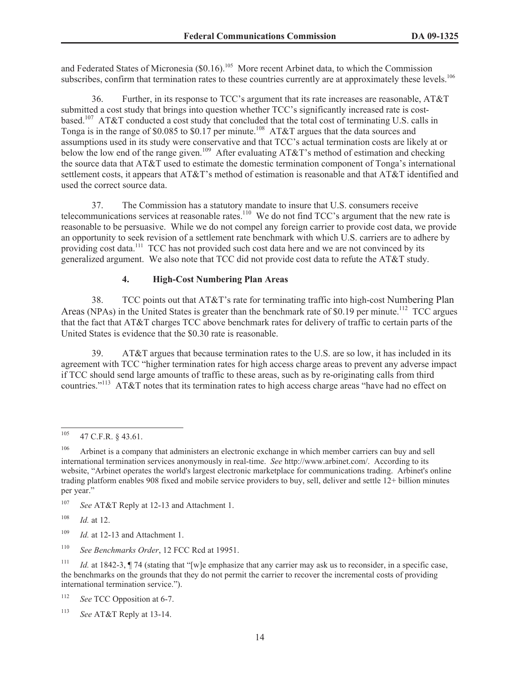and Federated States of Micronesia (\$0.16).<sup>105</sup> More recent Arbinet data, to which the Commission subscribes, confirm that termination rates to these countries currently are at approximately these levels.<sup>106</sup>

36. Further, in its response to TCC's argument that its rate increases are reasonable, AT&T submitted a cost study that brings into question whether TCC's significantly increased rate is costbased.<sup>107</sup> AT&T conducted a cost study that concluded that the total cost of terminating U.S. calls in Tonga is in the range of \$0.085 to \$0.17 per minute.<sup>108</sup> AT&T argues that the data sources and assumptions used in its study were conservative and that TCC's actual termination costs are likely at or below the low end of the range given.<sup>109</sup> After evaluating AT&T's method of estimation and checking the source data that AT&T used to estimate the domestic termination component of Tonga's international settlement costs, it appears that AT&T's method of estimation is reasonable and that AT&T identified and used the correct source data.

37. The Commission has a statutory mandate to insure that U.S. consumers receive telecommunications services at reasonable rates.<sup>110</sup> We do not find TCC's argument that the new rate is reasonable to be persuasive. While we do not compel any foreign carrier to provide cost data, we provide an opportunity to seek revision of a settlement rate benchmark with which U.S. carriers are to adhere by providing cost data.<sup>111</sup> TCC has not provided such cost data here and we are not convinced by its generalized argument. We also note that TCC did not provide cost data to refute the AT&T study.

### **4. High-Cost Numbering Plan Areas**

38. TCC points out that AT&T's rate for terminating traffic into high-cost Numbering Plan Areas (NPAs) in the United States is greater than the benchmark rate of \$0.19 per minute.<sup>112</sup> TCC argues that the fact that AT&T charges TCC above benchmark rates for delivery of traffic to certain parts of the United States is evidence that the \$0.30 rate is reasonable.

39. AT&T argues that because termination rates to the U.S. are so low, it has included in its agreement with TCC "higher termination rates for high access charge areas to prevent any adverse impact if TCC should send large amounts of traffic to these areas, such as by re-originating calls from third countries."<sup>113</sup> AT&T notes that its termination rates to high access charge areas "have had no effect on

<sup>109</sup> *Id.* at 12-13 and Attachment 1.

 $^{105}$  47 C.F.R. § 43.61.

<sup>&</sup>lt;sup>106</sup> Arbinet is a company that administers an electronic exchange in which member carriers can buy and sell international termination services anonymously in real-time. *See* http://www.arbinet.com/. According to its website, "Arbinet operates the world's largest electronic marketplace for communications trading. Arbinet's online trading platform enables 908 fixed and mobile service providers to buy, sell, deliver and settle 12+ billion minutes per year."

<sup>107</sup> *See* AT&T Reply at 12-13 and Attachment 1.

<sup>108</sup> *Id.* at 12.

<sup>110</sup> *See Benchmarks Order*, 12 FCC Rcd at 19951.

<sup>&</sup>lt;sup>111</sup> *Id.* at 1842-3,  $\P$  74 (stating that "[w]e emphasize that any carrier may ask us to reconsider, in a specific case, the benchmarks on the grounds that they do not permit the carrier to recover the incremental costs of providing international termination service.").

<sup>112</sup> *See* TCC Opposition at 6-7.

<sup>113</sup> *See* AT&T Reply at 13-14.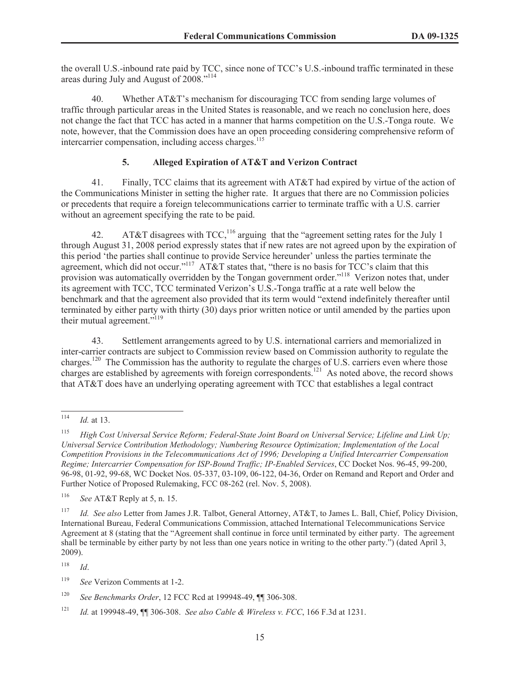the overall U.S.-inbound rate paid by TCC, since none of TCC's U.S.-inbound traffic terminated in these areas during July and August of 2008."<sup>114</sup>

40. Whether AT&T's mechanism for discouraging TCC from sending large volumes of traffic through particular areas in the United States is reasonable, and we reach no conclusion here, does not change the fact that TCC has acted in a manner that harms competition on the U.S.-Tonga route. We note, however, that the Commission does have an open proceeding considering comprehensive reform of intercarrier compensation, including access charges.<sup>115</sup>

### **5. Alleged Expiration of AT&T and Verizon Contract**

41. Finally, TCC claims that its agreement with AT&T had expired by virtue of the action of the Communications Minister in setting the higher rate. It argues that there are no Commission policies or precedents that require a foreign telecommunications carrier to terminate traffic with a U.S. carrier without an agreement specifying the rate to be paid.

42. AT&T disagrees with TCC,<sup>116</sup> arguing that the "agreement setting rates for the July 1 through August 31, 2008 period expressly states that if new rates are not agreed upon by the expiration of this period 'the parties shall continue to provide Service hereunder' unless the parties terminate the agreement, which did not occur."<sup>117</sup> AT&T states that, "there is no basis for TCC's claim that this provision was automatically overridden by the Tongan government order."<sup>118</sup> Verizon notes that, under its agreement with TCC, TCC terminated Verizon's U.S.-Tonga traffic at a rate well below the benchmark and that the agreement also provided that its term would "extend indefinitely thereafter until terminated by either party with thirty (30) days prior written notice or until amended by the parties upon their mutual agreement."<sup>119</sup>

43. Settlement arrangements agreed to by U.S. international carriers and memorialized in inter-carrier contracts are subject to Commission review based on Commission authority to regulate the charges.<sup>120</sup> The Commission has the authority to regulate the charges of U.S. carriers even where those charges are established by agreements with foreign correspondents.<sup>121</sup> As noted above, the record shows that AT&T does have an underlying operating agreement with TCC that establishes a legal contract

<sup>118</sup> *Id*.

<sup>114</sup> *Id.* at 13.

<sup>115</sup> *High Cost Universal Service Reform; Federal-State Joint Board on Universal Service; Lifeline and Link Up; Universal Service Contribution Methodology; Numbering Resource Optimization; Implementation of the Local Competition Provisions in the Telecommunications Act of 1996; Developing a Unified Intercarrier Compensation Regime; Intercarrier Compensation for ISP-Bound Traffic; IP-Enabled Services*, CC Docket Nos. 96-45, 99-200, 96-98, 01-92, 99-68, WC Docket Nos. 05-337, 03-109, 06-122, 04-36, Order on Remand and Report and Order and Further Notice of Proposed Rulemaking, FCC 08-262 (rel. Nov. 5, 2008).

<sup>116</sup> *See* AT&T Reply at 5, n. 15.

<sup>117</sup> *Id. See also* Letter from James J.R. Talbot, General Attorney, AT&T, to James L. Ball, Chief, Policy Division, International Bureau, Federal Communications Commission, attached International Telecommunications Service Agreement at 8 (stating that the "Agreement shall continue in force until terminated by either party. The agreement shall be terminable by either party by not less than one years notice in writing to the other party.") (dated April 3, 2009).

<sup>119</sup> *See* Verizon Comments at 1-2.

<sup>120</sup> *See Benchmarks Order*, 12 FCC Rcd at 199948-49, ¶¶ 306-308.

<sup>121</sup> *Id.* at 199948-49, ¶¶ 306-308. *See also Cable & Wireless v. FCC*, 166 F.3d at 1231.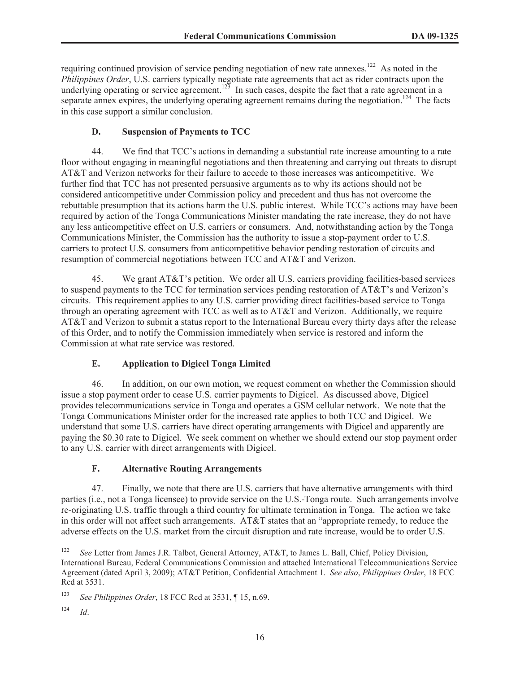requiring continued provision of service pending negotiation of new rate annexes.<sup>122</sup> As noted in the *Philippines Order*, U.S. carriers typically negotiate rate agreements that act as rider contracts upon the underlying operating or service agreement.<sup>123</sup> In such cases, despite the fact that a rate agreement in a separate annex expires, the underlying operating agreement remains during the negotiation.<sup>124</sup> The facts in this case support a similar conclusion.

# **D. Suspension of Payments to TCC**

44. We find that TCC's actions in demanding a substantial rate increase amounting to a rate floor without engaging in meaningful negotiations and then threatening and carrying out threats to disrupt AT&T and Verizon networks for their failure to accede to those increases was anticompetitive. We further find that TCC has not presented persuasive arguments as to why its actions should not be considered anticompetitive under Commission policy and precedent and thus has not overcome the rebuttable presumption that its actions harm the U.S. public interest. While TCC's actions may have been required by action of the Tonga Communications Minister mandating the rate increase, they do not have any less anticompetitive effect on U.S. carriers or consumers. And, notwithstanding action by the Tonga Communications Minister, the Commission has the authority to issue a stop-payment order to U.S. carriers to protect U.S. consumers from anticompetitive behavior pending restoration of circuits and resumption of commercial negotiations between TCC and AT&T and Verizon.

45. We grant AT&T's petition. We order all U.S. carriers providing facilities-based services to suspend payments to the TCC for termination services pending restoration of AT&T's and Verizon's circuits. This requirement applies to any U.S. carrier providing direct facilities-based service to Tonga through an operating agreement with TCC as well as to AT&T and Verizon. Additionally, we require AT&T and Verizon to submit a status report to the International Bureau every thirty days after the release of this Order, and to notify the Commission immediately when service is restored and inform the Commission at what rate service was restored.

# **E. Application to Digicel Tonga Limited**

46. In addition, on our own motion, we request comment on whether the Commission should issue a stop payment order to cease U.S. carrier payments to Digicel. As discussed above, Digicel provides telecommunications service in Tonga and operates a GSM cellular network. We note that the Tonga Communications Minister order for the increased rate applies to both TCC and Digicel. We understand that some U.S. carriers have direct operating arrangements with Digicel and apparently are paying the \$0.30 rate to Digicel. We seek comment on whether we should extend our stop payment order to any U.S. carrier with direct arrangements with Digicel.

# **F. Alternative Routing Arrangements**

47. Finally, we note that there are U.S. carriers that have alternative arrangements with third parties (i.e., not a Tonga licensee) to provide service on the U.S.-Tonga route. Such arrangements involve re-originating U.S. traffic through a third country for ultimate termination in Tonga. The action we take in this order will not affect such arrangements. AT&T states that an "appropriate remedy, to reduce the adverse effects on the U.S. market from the circuit disruption and rate increase, would be to order U.S.

<sup>&</sup>lt;sup>122</sup> *See* Letter from James J.R. Talbot, General Attorney, AT&T, to James L. Ball, Chief, Policy Division, International Bureau, Federal Communications Commission and attached International Telecommunications Service Agreement (dated April 3, 2009); AT&T Petition, Confidential Attachment 1. *See also*, *Philippines Order*, 18 FCC Rcd at 3531.

<sup>123</sup> *See Philippines Order*, 18 FCC Rcd at 3531, ¶ 15, n.69.

<sup>124</sup> *Id*.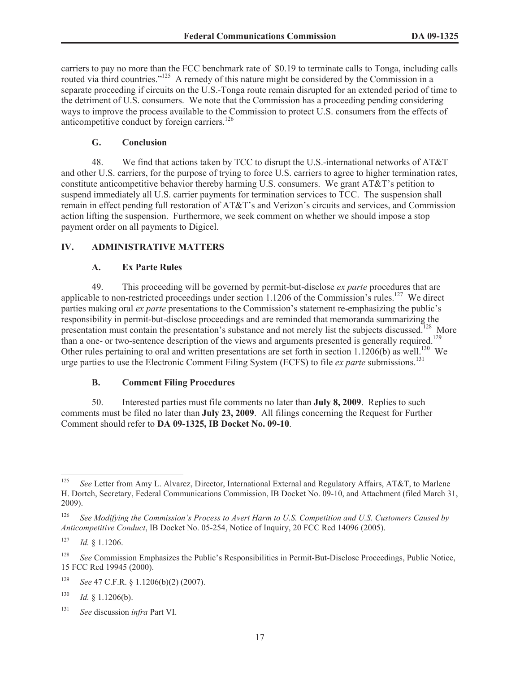carriers to pay no more than the FCC benchmark rate of \$0.19 to terminate calls to Tonga, including calls routed via third countries."<sup>125</sup> A remedy of this nature might be considered by the Commission in a separate proceeding if circuits on the U.S.-Tonga route remain disrupted for an extended period of time to the detriment of U.S. consumers. We note that the Commission has a proceeding pending considering ways to improve the process available to the Commission to protect U.S. consumers from the effects of anticompetitive conduct by foreign carriers.<sup>126</sup>

### **G. Conclusion**

48. We find that actions taken by TCC to disrupt the U.S.-international networks of AT&T and other U.S. carriers, for the purpose of trying to force U.S. carriers to agree to higher termination rates, constitute anticompetitive behavior thereby harming U.S. consumers. We grant AT&T's petition to suspend immediately all U.S. carrier payments for termination services to TCC. The suspension shall remain in effect pending full restoration of AT&T's and Verizon's circuits and services, and Commission action lifting the suspension. Furthermore, we seek comment on whether we should impose a stop payment order on all payments to Digicel.

# **IV. ADMINISTRATIVE MATTERS**

### **A. Ex Parte Rules**

49. This proceeding will be governed by permit-but-disclose *ex parte* procedures that are applicable to non-restricted proceedings under section 1.1206 of the Commission's rules.<sup>127</sup> We direct parties making oral *ex parte* presentations to the Commission's statement re-emphasizing the public's responsibility in permit-but-disclose proceedings and are reminded that memoranda summarizing the presentation must contain the presentation's substance and not merely list the subjects discussed.<sup>128</sup> More than a one- or two-sentence description of the views and arguments presented is generally required.<sup>129</sup> Other rules pertaining to oral and written presentations are set forth in section  $1.1206(b)$  as well.<sup>130</sup> We urge parties to use the Electronic Comment Filing System (ECFS) to file *ex parte* submissions.<sup>131</sup>

# **B. Comment Filing Procedures**

50. Interested parties must file comments no later than **July 8, 2009**. Replies to such comments must be filed no later than **July 23, 2009**. All filings concerning the Request for Further Comment should refer to **DA 09-1325, IB Docket No. 09-10**.

<sup>&</sup>lt;sup>125</sup> *See* Letter from Amy L. Alvarez, Director, International External and Regulatory Affairs, AT&T, to Marlene H. Dortch, Secretary, Federal Communications Commission, IB Docket No. 09-10, and Attachment (filed March 31, 2009).

<sup>126</sup> *See Modifying the Commission's Process to Avert Harm to U.S. Competition and U.S. Customers Caused by Anticompetitive Conduct*, IB Docket No. 05-254, Notice of Inquiry, 20 FCC Rcd 14096 (2005).

<sup>127</sup> *Id.* § 1.1206.

<sup>&</sup>lt;sup>128</sup> *See* Commission Emphasizes the Public's Responsibilities in Permit-But-Disclose Proceedings, Public Notice, 15 FCC Rcd 19945 (2000).

<sup>129</sup> *See* 47 C.F.R. § 1.1206(b)(2) (2007).

 $130$  *Id.* § 1.1206(b).

<sup>131</sup> *See* discussion *infra* Part VI.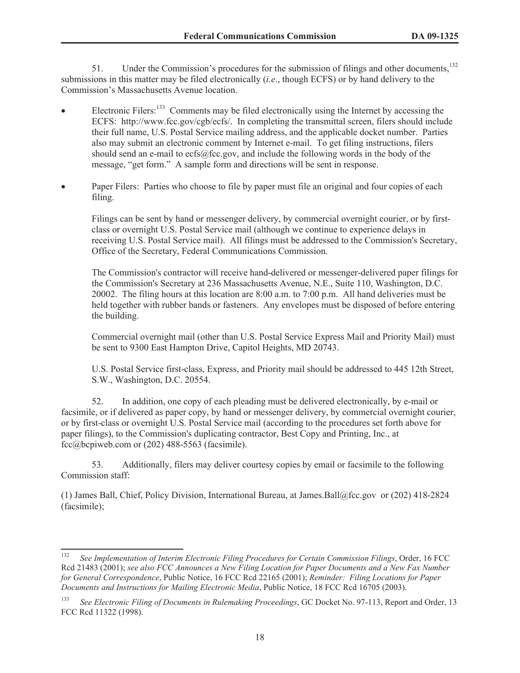51. Under the Commission's procedures for the submission of filings and other documents,<sup>132</sup> submissions in this matter may be filed electronically (*i.e*., though ECFS) or by hand delivery to the Commission's Massachusetts Avenue location.

- Electronic Filers:<sup>133</sup> Comments may be filed electronically using the Internet by accessing the ECFS: http://www.fcc.gov/cgb/ecfs/. In completing the transmittal screen, filers should include their full name, U.S. Postal Service mailing address, and the applicable docket number. Parties also may submit an electronic comment by Internet e-mail. To get filing instructions, filers should send an e-mail to ecfs@fcc.gov, and include the following words in the body of the message, "get form." A sample form and directions will be sent in response.
- Paper Filers: Parties who choose to file by paper must file an original and four copies of each filing.

Filings can be sent by hand or messenger delivery, by commercial overnight courier, or by firstclass or overnight U.S. Postal Service mail (although we continue to experience delays in receiving U.S. Postal Service mail). All filings must be addressed to the Commission's Secretary, Office of the Secretary, Federal Communications Commission.

The Commission's contractor will receive hand-delivered or messenger-delivered paper filings for the Commission's Secretary at 236 Massachusetts Avenue, N.E., Suite 110, Washington, D.C. 20002. The filing hours at this location are 8:00 a.m. to 7:00 p.m. All hand deliveries must be held together with rubber bands or fasteners. Any envelopes must be disposed of before entering the building.

Commercial overnight mail (other than U.S. Postal Service Express Mail and Priority Mail) must be sent to 9300 East Hampton Drive, Capitol Heights, MD 20743.

U.S. Postal Service first-class, Express, and Priority mail should be addressed to 445 12th Street, S.W., Washington, D.C. 20554.

52. In addition, one copy of each pleading must be delivered electronically, by e-mail or facsimile, or if delivered as paper copy, by hand or messenger delivery, by commercial overnight courier, or by first-class or overnight U.S. Postal Service mail (according to the procedures set forth above for paper filings), to the Commission's duplicating contractor, Best Copy and Printing, Inc., at fcc@bcpiweb.com or  $(202)$  488-5563 (facsimile).

53. Additionally, filers may deliver courtesy copies by email or facsimile to the following Commission staff:

(1) James Ball, Chief, Policy Division, International Bureau, at James.Ball@fcc.gov or (202) 418-2824 (facsimile);

<sup>132</sup> *See Implementation of Interim Electronic Filing Procedures for Certain Commission Filings*, Order, 16 FCC Rcd 21483 (2001); *see also FCC Announces a New Filing Location for Paper Documents and a New Fax Number for General Correspondence*, Public Notice, 16 FCC Rcd 22165 (2001); *Reminder: Filing Locations for Paper Documents and Instructions for Mailing Electronic Media*, Public Notice, 18 FCC Rcd 16705 (2003).

<sup>133</sup> *See Electronic Filing of Documents in Rulemaking Proceedings*, GC Docket No. 97-113, Report and Order, 13 FCC Rcd 11322 (1998).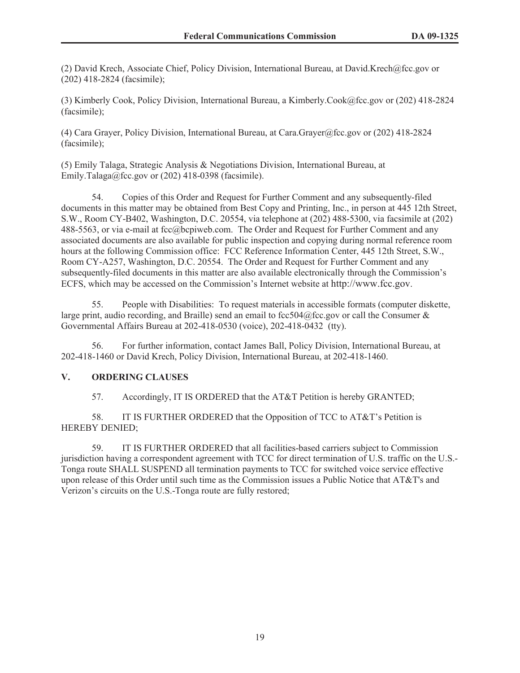(2) David Krech, Associate Chief, Policy Division, International Bureau, at David.Krech@fcc.gov or (202) 418-2824 (facsimile);

(3) Kimberly Cook, Policy Division, International Bureau, a Kimberly.Cook@fcc.gov or (202) 418-2824 (facsimile);

(4) Cara Grayer, Policy Division, International Bureau, at Cara.Grayer@fcc.gov or (202) 418-2824 (facsimile);

(5) Emily Talaga, Strategic Analysis & Negotiations Division, International Bureau, at Emily.Talaga@fcc.gov or  $(202)$  418-0398 (facsimile).

54. Copies of this Order and Request for Further Comment and any subsequently-filed documents in this matter may be obtained from Best Copy and Printing, Inc., in person at 445 12th Street, S.W., Room CY-B402, Washington, D.C. 20554, via telephone at (202) 488-5300, via facsimile at (202) 488-5563, or via e-mail at fcc@bcpiweb.com. The Order and Request for Further Comment and any associated documents are also available for public inspection and copying during normal reference room hours at the following Commission office: FCC Reference Information Center, 445 12th Street, S.W., Room CY-A257, Washington, D.C. 20554. The Order and Request for Further Comment and any subsequently-filed documents in this matter are also available electronically through the Commission's ECFS, which may be accessed on the Commission's Internet website at http://www.fcc.gov.

55. People with Disabilities: To request materials in accessible formats (computer diskette, large print, audio recording, and Braille) send an email to fcc504@fcc.gov or call the Consumer  $\&$ Governmental Affairs Bureau at 202-418-0530 (voice), 202-418-0432 (tty).

56. For further information, contact James Ball, Policy Division, International Bureau, at 202-418-1460 or David Krech, Policy Division, International Bureau, at 202-418-1460.

### **V. ORDERING CLAUSES**

57. Accordingly, IT IS ORDERED that the AT&T Petition is hereby GRANTED;

58. IT IS FURTHER ORDERED that the Opposition of TCC to AT&T's Petition is HEREBY DENIED;

59. IT IS FURTHER ORDERED that all facilities-based carriers subject to Commission jurisdiction having a correspondent agreement with TCC for direct termination of U.S. traffic on the U.S.- Tonga route SHALL SUSPEND all termination payments to TCC for switched voice service effective upon release of this Order until such time as the Commission issues a Public Notice that AT&T's and Verizon's circuits on the U.S.-Tonga route are fully restored;